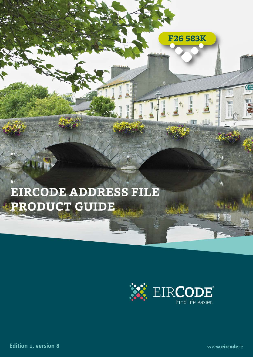# EIRCODE ADDRESS FILE **PRODUCT GUIDE**

**EIRCODE ADDRESS FILE PRODUCTION 1, VERSION 1, VERSION 1, VERSION 1, VERSION** 

Ę

F26 583K

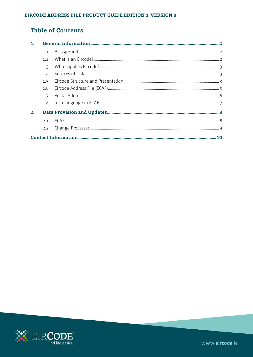# **Table of Contents**

| 1. |     |  |
|----|-----|--|
|    | 1.1 |  |
|    | 1.7 |  |
|    | 1.3 |  |
|    | 1.4 |  |
|    | 1.5 |  |
|    | 1.6 |  |
|    | 1.7 |  |
|    | 1.8 |  |
| 2. |     |  |
|    |     |  |
|    | 2.2 |  |
|    |     |  |

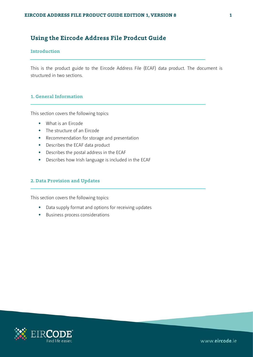# **Using the Eircode Address File Prodcut Guide**

# **Introduction**

This is the product guide to the Eircode Address File (ECAF) data product. The document is structured in two sections.

# **1. General Information**

This section covers the following topics:

- What is an Eircode
- The structure of an Eircode
- Recommendation for storage and presentation
- Describes the ECAF data product
- Describes the postal address in the ECAF
- Describes how Irish language is included in the ECAF

# **2. Data Provision and Updates**

This section covers the following topics:

- Data supply format and options for receiving updates
- Business process considerations

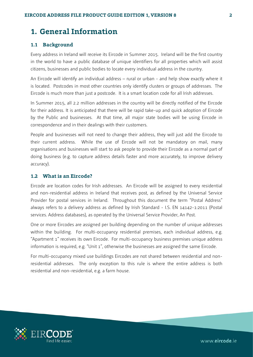# <span id="page-3-0"></span>**1. General Information**

# <span id="page-3-1"></span>**1.1 Background**

Every address in Ireland will receive its Eircode in Summer 2015. Ireland will be the first country in the world to have a public database of unique identifiers for all properties which will assist citizens, businesses and public bodies to locate every individual address in the country.

An Eircode will identify an individual address – rural or urban - and help show exactly where it is located. Postcodes in most other countries only identify clusters or groups of addresses. The Eircode is much more than just a postcode. It is a smart location code for all Irish addresses.

In Summer 2015, all 2.2 million addresses in the country will be directly notified of the Eircode for their address. It is anticipated that there will be rapid take-up and quick adoption of Eircode by the Public and businesses. At that time, all major state bodies will be using Eircode in correspondence and in their dealings with their customers.

People and businesses will not need to change their address, they will just add the Eircode to their current address. While the use of Eircode will not be mandatory on mail, many organisations and businesses will start to ask people to provide their Eircode as a normal part of doing business (e.g. to capture address details faster and more accurately, to improve delivery accuracy).

# <span id="page-3-2"></span>**1.2 What is an Eircode?**

Eircode are location codes for Irish addresses. An Eircode will be assigned to every residential and non-residential address in Ireland that receives post, as defined by the Universal Service Provider for postal services in Ireland. Throughout this document the term "Postal Address" always refers to a delivery address as defined by Irish Standard - I.S. EN 14142-1:2011 (Postal services. Address databases), as operated by the Universal Service Provider, An Post.

One or more Eircodes are assigned per building depending on the number of unique addresses within the building. For multi-occupancy residential premises, each individual address, e.g. "Apartment 1" receives its own Eircode. For multi-occupancy business premises unique address information is required, e.g. "Unit 1", otherwise the businesses are assigned the same Eircode.

For multi-occupancy mixed use buildings Eircodes are not shared between residential and nonresidential addresses. The only exception to this rule is where the entire address is both residential and non-residential, e.g. a farm house.

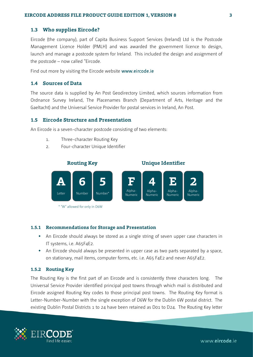# <span id="page-4-0"></span>**1.3 Who supplies Eircode?**

Eircode (the company), part of Capita Business Support Services (Ireland) Ltd is the Postcode Management Licence Holder (PMLH) and was awarded the government licence to design, launch and manage a postcode system for Ireland. This included the design and assignment of the postcode – now called "Eircode.

Find out more by visiting the Eircode website [www.eircode.ie](http://www.eircode.ie/)

# <span id="page-4-1"></span>**1.4 Sources of Data**

The source data is supplied by An Post Geodirectory Limited, which sources information from Ordnance Survey Ireland, The Placenames Branch (Department of Arts, Heritage and the Gaeltacht) and the Universal Service Provider for postal services in Ireland, An Post.

# <span id="page-4-2"></span>**1.5 Eircode Structure and Presentation**

An Eircode is a seven-character postcode consisting of two elements:

- 1. Three-character Routing Key
- 2. Four-character Unique Identifier



\* "W" allowed for only in D6W

# **1.5.1 Recommendations for Storage and Presentation**

- An Eircode should always be stored as a single string of seven upper case characters in IT systems, i.e. A65F4E2.
- An Eircode should always be presented in upper case as two parts separated by a space, on stationary, mail items, computer forms, etc. i.e. A65 F4E2 and never A65F4E2.

## **1.5.2 Routing Key**

The Routing Key is the first part of an Eircode and is consistently three characters long. The Universal Service Provider identified principal post towns through which mail is distributed and Eircode assigned Routing Key codes to those principal post towns. The Routing Key format is Letter-Number-Number with the single exception of D6W for the Dublin 6W postal district. The existing Dublin Postal Districts 1 to 24 have been retained as D01 to D24. The Routing Key letter

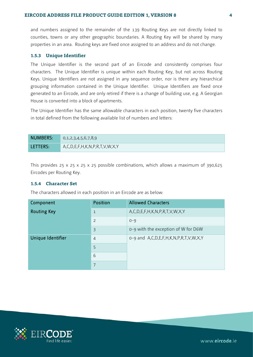and numbers assigned to the remainder of the 139 Routing Keys are not directly linked to counties, towns or any other geographic boundaries. A Routing Key will be shared by many properties in an area. Routing keys are fixed once assigned to an address and do not change.

### **1.5.3 Unique Identifier**

The Unique Identifier is the second part of an Eircode and consistently comprises four characters. The Unique Identifier is unique within each Routing Key, but not across Routing Keys. Unique Identifiers are not assigned in any sequence order, nor is there any hierarchical grouping information contained in the Unique Identifier. Unique Identifiers are fixed once generated to an Eircode, and are only retired if there is a change of building use, e.g. A Georgian House is converted into a block of apartments.

The Unique Identifier has the same allowable characters in each position, twenty five characters in total defined from the following available list of numbers and letters:

| NUMBERS: | 0,1,2,3,4,5,6,7,8,9                           |
|----------|-----------------------------------------------|
| LETTERS: | $A, C, D, E, F, H, K, N, P, R, T, V, W, X, Y$ |

This provides 25 x 25 x 25 x 25 possible combinations, which allows a maximum of 390,625 Eircodes per Routing Key.

# **1.5.4 Character Set**

The characters allowed in each position in an Eircode are as below:

| Component          | Position       | <b>Allowed Characters</b>                   |
|--------------------|----------------|---------------------------------------------|
| <b>Routing Key</b> | $\mathbf{1}$   | A, C, D, E, F, H, K, N, P, R, T, V, W, X, Y |
|                    | $\overline{2}$ | $0 - 9$                                     |
|                    | $\overline{3}$ | o-9 with the exception of W for D6W         |
| Unique Identifier  | $\overline{4}$ | o-9 and A,C,D,E,F,H,K,N,P,R,T,V,W,X,Y       |
|                    | 5              |                                             |
|                    | 6              |                                             |
|                    | $\overline{7}$ |                                             |

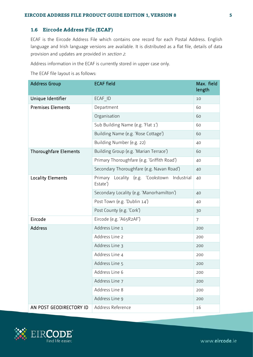# <span id="page-6-0"></span>**1.6 Eircode Address File (ECAF)**

ECAF is the Eircode Address File which contains one record for each Postal Address. English language and Irish language versions are available. It is distributed as a flat file, details of data provision and updates are provided in sectio[n 2.](#page-9-0)

Address information in the ECAF is currently stored in upper case only.

The ECAF file layout is as follows:

| <b>Address Group</b>         | <b>ECAF field</b>                                                 | Max. field<br>length |
|------------------------------|-------------------------------------------------------------------|----------------------|
| Unique Identifier            | ECAF ID                                                           | 10                   |
| <b>Premises Elements</b>     | Department                                                        | 60                   |
|                              | Organisation                                                      | 60                   |
|                              | Sub Building Name (e.g. 'Flat 1')                                 | 60                   |
|                              | Building Name (e.g. 'Rose Cottage')                               | 60                   |
|                              | Building Number (e.g. 22)                                         | 40                   |
| <b>Thoroughfare Elements</b> | Building Group (e.g. 'Marian Terrace')                            | 60                   |
|                              | Primary Thoroughfare (e.g. 'Griffith Road')                       | 40                   |
|                              | Secondary Thoroughfare (e.g. Navan Road')                         | 40                   |
| <b>Locality Elements</b>     | Locality (e.g.<br>Primary<br>'Cookstown<br>Industrial<br>Estate') | 40                   |
|                              | Secondary Locality (e.g. 'Manorhamilton')                         | 40                   |
|                              | Post Town (e.g. 'Dublin 14')                                      | 40                   |
|                              | Post County (e.g. 'Cork')                                         | 30                   |
| Eircode                      | Eircode (e.g. 'A65R2AF')                                          | $\overline{7}$       |
| <b>Address</b>               | Address Line 1                                                    | 200                  |
|                              | Address Line 2                                                    | 200                  |
|                              | Address Line 3                                                    | 200                  |
|                              | Address Line 4                                                    | 200                  |
|                              | Address Line 5                                                    | 200                  |
|                              | Address Line 6                                                    | 200                  |
|                              | Address Line 7                                                    | 200                  |
|                              | Address Line 8                                                    | 200                  |
|                              | Address Line 9                                                    | 200                  |
| AN POST GEODIRECTORY ID      | Address Reference                                                 | 16                   |

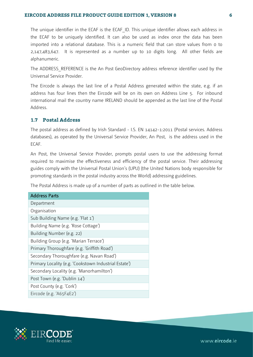## **EIRCODE ADDRESS FILE PRODUCT GUIDE EDITION 1, VERSION 8 6**

The unique identifier in the ECAF is the ECAF ID. This unique identifier allows each address in the ECAF to be uniquely identified. It can also be used as index once the data has been imported into a relational database. This is a numeric field that can store values from 0 to 2,147,483,647. It is represented as a number up to 10 digits long. All other fields are alphanumeric.

The ADDRESS\_REFERENCE is the An Post GeoDirectory address reference identifier used by the Universal Service Provider.

The Eircode is always the last line of a Postal Address generated within the state, e.g. if an address has four lines then the Eircode will be on its own on Address Line 5. For inbound international mail the country name IRELAND should be appended as the last line of the Postal Address.

# <span id="page-7-0"></span>**1.7 Postal Address**

The postal address as defined by Irish Standard - I.S. EN 14142-1:2011 (Postal services. Address databases), as operated by the Universal Service Provider, An Post, is the address used in the ECAF.

An Post, the Universal Service Provider, prompts postal users to use the addressing format required to maximise the effectiveness and efficiency of the postal service. Their addressing guides comply with the Universal Postal Union's (UPU) (the United Nations body responsible for promoting standards in the postal industry across the World) addressing guidelines.

The Postal Address is made up of a number of parts as outlined in the table below.

| <b>Address Parts</b>                                  |
|-------------------------------------------------------|
| Department                                            |
| Organisation                                          |
| Sub Building Name (e.g. 'Flat 1')                     |
| Building Name (e.g. 'Rose Cottage')                   |
| Building Number (e.g. 22)                             |
| Building Group (e.g. 'Marian Terrace')                |
| Primary Thoroughfare (e.g. 'Griffith Road')           |
| Secondary Thoroughfare (e.g. Navan Road')             |
| Primary Locality (e.g. 'Cookstown Industrial Estate') |
| Secondary Locality (e.g. 'Manorhamilton')             |
| Post Town (e.g. 'Dublin 14')                          |
| Post County (e.g. 'Cork')                             |
| Eircode (e.g. 'A65F4E2')                              |

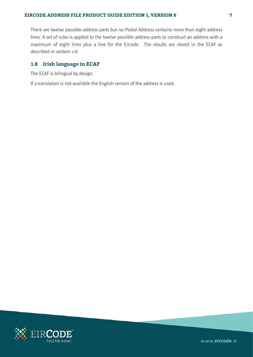There are twelve possible address parts but no Postal Address contains more than eight address lines. A set of rules is applied to the twelve possible address parts to construct an address with a maximum of eight lines plus a line for the Eircode. The results are stored in the ECAF as described in sectio[n 1.6](#page-6-0).

# <span id="page-8-0"></span>**1.8 Irish language in ECAF**

The ECAF is bilingual by design.

If a translation is not available the English version of the address is used.

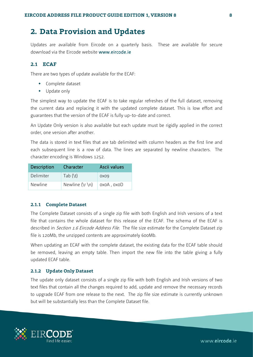# <span id="page-9-0"></span>**2. Data Provision and Updates**

Updates are available from Eircode on a quarterly basis. These are available for secure download via the Eircode website [www.eircode.ie](http://www.eircode.ie/)

# <span id="page-9-1"></span>**2.1 ECAF**

There are two types of update available for the ECAF:

- Complete dataset
- Update only

The simplest way to update the ECAF is to take regular refreshes of the full dataset, removing the current data and replacing it with the updated complete dataset. This is low effort and guarantees that the version of the ECAF is fully up-to-date and correct.

An Update Only version is also available but each update must be rigidly applied in the correct order, one version after another.

The data is stored in text files that are tab delimited with column headers as the first line and each subsequent line is a row of data. The lines are separated by newline characters. The character encoding is Windows 1252.

| Description      | Character                   | Ascii values    |
|------------------|-----------------------------|-----------------|
| <b>Delimiter</b> | Tab $(\n\t\setminus t)$     | 0X09            |
| <b>Newline</b>   | Newline $(\rceil \nceil n)$ | $0x0A$ , $0x0D$ |

## **2.1.1 Complete Dataset**

The Complete Dataset consists of a single zip file with both English and Irish versions of a text file that contains the whole dataset for this release of the ECAF. The schema of the ECAF is described in *Section 1.6 [Eircode Address File](#page-6-0)*. The file size estimate for the Complete Dataset zip file is 120Mb, the unzipped contents are approximately 600Mb.

When updating an ECAF with the complete dataset, the existing data for the ECAF table should be removed, leaving an empty table. Then import the new file into the table giving a fully updated ECAF table.

# **2.1.2 Update Only Dataset**

The update only dataset consists of a single zip file with both English and Irish versions of two text files that contain all the changes required to add, update and remove the necessary records to upgrade ECAF from one release to the next. The zip file size estimate is currently unknown but will be substantially less than the Complete Dataset file.

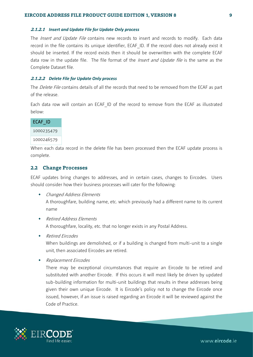#### **2.1.2.1** *Insert and Update File for Update Only process*

The *Insert and Update File* contains new records to insert and records to modify. Each data record in the file contains its unique identifier, ECAF ID. If the record does not already exist it should be inserted. If the record exists then it should be overwritten with the complete ECAF data row in the update file. The file format of the *Insert and Update file* is the same as the Complete Dataset file.

### **2.1.2.2** *Delete File for Update Only process*

The *Delete File* contains details of all the records that need to be removed from the ECAF as part of the release.

Each data row will contain an ECAF ID of the record to remove from the ECAF as illustrated below:

| ECAF ID    |  |
|------------|--|
| 1000235479 |  |
| 1000246579 |  |

When each data record in the delete file has been processed then the ECAF update process is complete.

### <span id="page-10-0"></span>**2.2 Change Processes**

ECAF updates bring changes to addresses, and in certain cases, changes to Eircodes. Users should consider how their business processes will cater for the following:

Changed Address Elements

A thoroughfare, building name, etc. which previously had a different name to its current name

- Retired Address Elements A thoroughfare, locality, etc. that no longer exists in any Postal Address.
- Retired Eircodes

When buildings are demolished, or if a building is changed from multi-unit to a single unit, then associated Eircodes are retired.

Replacement Eircodes

There may be exceptional circumstances that require an Eircode to be retired and substituted with another Eircode. If this occurs it will most likely be driven by updated sub-building information for multi-unit buildings that results in these addresses being given their own unique Eircode. It is Eircode's policy not to change the Eircode once issued, however, if an issue is raised regarding an Eircode it will be reviewed against the Code of Practice.